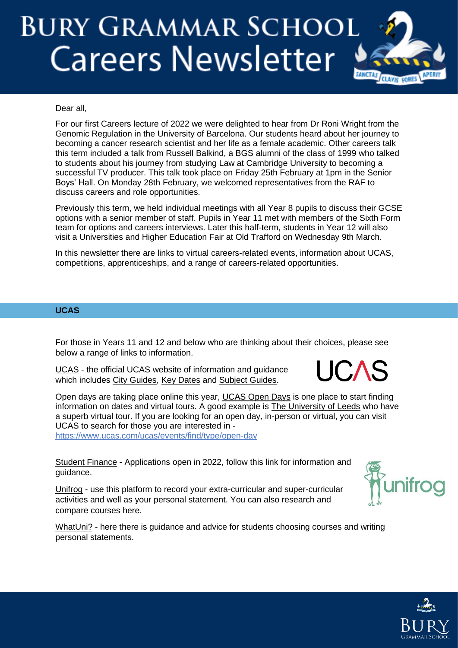# **BURY GRAMMAR SCHOOL Careers Newsletter**



### Dear all,

For our first Careers lecture of 2022 we were delighted to hear from Dr Roni Wright from the Genomic Regulation in the University of Barcelona. Our students heard about her journey to becoming a cancer research scientist and her life as a female academic. Other careers talk this term included a talk from Russell Balkind, a BGS alumni of the class of 1999 who talked to students about his journey from studying Law at Cambridge University to becoming a successful TV producer. This talk took place on Friday 25th February at 1pm in the Senior Boys' Hall. On Monday 28th February, we welcomed representatives from the RAF to discuss careers and role opportunities.

Previously this term, we held individual meetings with all Year 8 pupils to discuss their GCSE options with a senior member of staff. Pupils in Year 11 met with members of the Sixth Form team for options and careers interviews. Later this half-term, students in Year 12 will also visit a Universities and Higher Education Fair at Old Trafford on Wednesday 9th March.

In this newsletter there are links to virtual careers-related events, information about UCAS, competitions, apprenticeships, and a range of careers-related opportunities.

#### **UCAS**

For those in Years 11 and 12 and below who are thinking about their choices, please see below a range of links to information.

[UCAS](https://www.ucas.com/) - the official UCAS website of information and guidance which includes [City Guides,](https://www.ucas.com/city-guides) [Key Dates](https://www.ucas.com/ucas/events/find/scheme/undergraduate/type/key-date?layout=list) and [Subject Guides.](https://www.ucas.com/explore/subjects)

Open days are taking place online this year, [UCAS Open Days](https://www.ucas.com/undergraduate/what-and-where-study/events-and-open-days) is one place to start finding information on dates and virtual tours. A good example is [The University of Leeds](https://virtualcampustour.leeds.ac.uk/) who have a superb virtual tour. If you are looking for an open day, in-person or virtual, you can visit UCAS to search for those you are interested in <https://www.ucas.com/ucas/events/find/type/open-day>

[Student Finance](https://www.gov.uk/student-finance) - Applications open in 2022, follow this link for information and guidance.

[Unifrog](https://www.unifrog.org/) - use this platform to record your extra-curricular and super-curricular activities and well as your personal statement. You can also research and compare courses here.

[WhatUni?](https://www.whatuni.com/) - here there is quidance and advice for students choosing courses and writing personal statements.



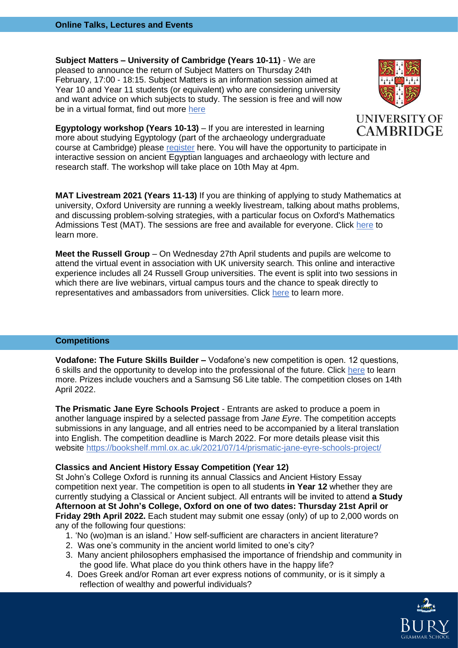**Subject Matters – University of Cambridge (Years 10-11)** - We are pleased to announce the return of Subject Matters on Thursday 24th February, 17:00 - 18:15. Subject Matters is an information session aimed at Year 10 and Year 11 students (or equivalent) who are considering university and want advice on which subjects to study. The session is free and will now be in a virtual format, find out more [here](https://www.undergraduate.study.cam.ac.uk/events/subjectmatters)



**Egyptology workshop (Years 10-13)** – If you are interested in learning more about studying Egyptology (part of the archaeology undergraduate

course at Cambridge) please [register](https://cam-ac-uk.zoom.us/meeting/register/tJMkcuutqT4vGNOD9lgX_uU51zOtSnXhre6a) here. You will have the opportunity to participate in interactive session on ancient Egyptian languages and archaeology with lecture and research staff. The workshop will take place on 10th May at 4pm.

**MAT Livestream 2021 (Years 11-13)** If you are thinking of applying to study Mathematics at university, Oxford University are running a weekly livestream, talking about maths problems, and discussing problem-solving strategies, with a particular focus on Oxford's Mathematics Admissions Test (MAT). The sessions are free and available for everyone. Click [here](https://www.maths.ox.ac.uk/node/36263) to learn more.

**Meet the Russell Group** – On Wednesday 27th April students and pupils are welcome to attend the virtual event in association with UK university search. This online and interactive experience includes all 24 Russell Group universities. The event is split into two sessions in which there are live webinars, virtual campus tours and the chance to speak directly to representatives and ambassadors from universities. Click [here](https://russellgroup.vfairs.com/?_cldee=aGdyZWVuZUBidXJ5Z3JhbW1hci5jb20%3d&recipientid=contact-84438f342f06eb11a813000d3a86ad99-8a270432f91349c1bc46ce8cce460200&esid=b5533615-768a-ec11-93b0-002248007942) to learn more.

### **Competitions**

**Vodafone: The Future Skills Builder –** Vodafone's new competition is open. 12 questions, 6 skills and the opportunity to develop into the professional of the future. Click [here](https://www.theskillsbuilder.co.uk/?utm_source=rma-email&%3Butm_medium=email&%3Butm_campaign=future-skills&%3Butm_content=teachers-email-3) to learn more. Prizes include vouchers and a Samsung S6 Lite table. The competition closes on 14th April 2022.

**The Prismatic Jane Eyre Schools Project** - Entrants are asked to produce a poem in another language inspired by a selected passage from *Jane Eyre*. The competition accepts submissions in any language, and all entries need to be accompanied by a literal translation into English. The competition deadline is March 2022. For more details please visit this website<https://bookshelf.mml.ox.ac.uk/2021/07/14/prismatic-jane-eyre-schools-project/>

#### **Classics and Ancient History Essay Competition (Year 12)**

St John's College Oxford is running its annual Classics and Ancient History Essay competition next year. The competition is open to all students **in Year 12** whether they are currently studying a Classical or Ancient subject. All entrants will be invited to attend **a Study Afternoon at St John's College, Oxford on one of two dates: Thursday 21st April or Friday 29th April 2022.** Each student may submit one essay (only) of up to 2,000 words on any of the following four questions:

- 1. 'No (wo)man is an island.' How self-sufficient are characters in ancient literature?
- 2. Was one's community in the ancient world limited to one's city?
- 3. Many ancient philosophers emphasised the importance of friendship and community in the good life. What place do you think others have in the happy life?
- 4. Does Greek and/or Roman art ever express notions of community, or is it simply a reflection of wealthy and powerful individuals?

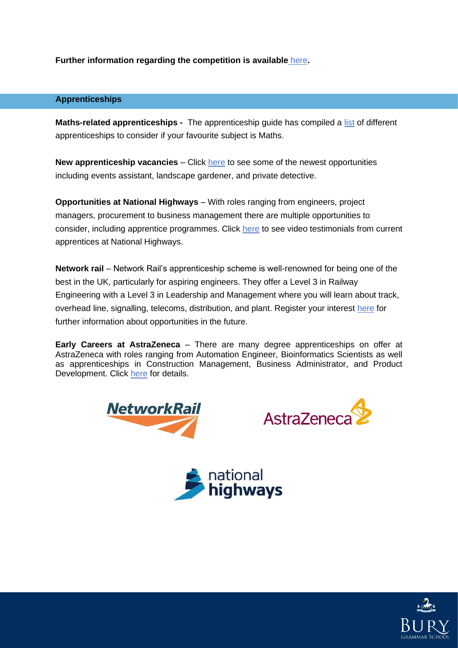**Further information regarding the competition is available** [here](https://www.sjc.ox.ac.uk/discover/events/classics-and-ancient-history-essay-competition-202122/)**.**

## **Apprenticeships**

**Maths-related apprenticeships -** The apprenticeship guide has compiled a [list](https://apprenticeshipguide.co.uk/apprenticeships-to-consider-if-your-favourite-subject-is-maths/?dm_i=FOB,7QRTG,7QNY80,VKHP5,1) of different apprenticeships to consider if your favourite subject is Maths.

**New apprenticeship vacancies** – Click [here](https://apprenticeshipguide.co.uk/new-apprenticeship-vacancies-private-detective-landscape-gardener-and-events-assistant/?dm_i=FOB,7QRTG,7QNY80,VKHP5,1) to see some of the newest opportunities including events assistant, landscape gardener, and private detective.

**Opportunities at National Highways** – With roles ranging from engineers, project managers, procurement to business management there are multiple opportunities to consider, including apprentice programmes. Click [here](https://apprenticeshipguide.co.uk/ep-national-highways/?dm_i=FOB,7QRTG,7QNY80,VKHP5,1) to see video testimonials from current apprentices at National Highways.

**Network rail** – Network Rail's apprenticeship scheme is well-renowned for being one of the best in the UK, particularly for aspiring engineers. They offer a Level 3 in Railway Engineering with a Level 3 in Leadership and Management where you will learn about track, overhead line, signalling, telecoms, distribution, and plant. Register your interest [here](https://www.networkrail.co.uk/careers/early-careers/apprenticeships/) for further information about opportunities in the future.

**Early Careers at AstraZeneca** – There are many degree apprenticeships on offer at AstraZeneca with roles ranging from Automation Engineer, Bioinformatics Scientists as well as apprenticeships in Construction Management, Business Administrator, and Product Development. Click [here](https://www.ratemyapprenticeship.co.uk/company-profile/612/astrazeneca/jobs?utm_source=emailCampaign&utm_medium=email&utm_campaign=cl-26012022-astrazeneca-career&dm_i=30Z2,18MNC,7X0YBL,4TBCC,1) for details.